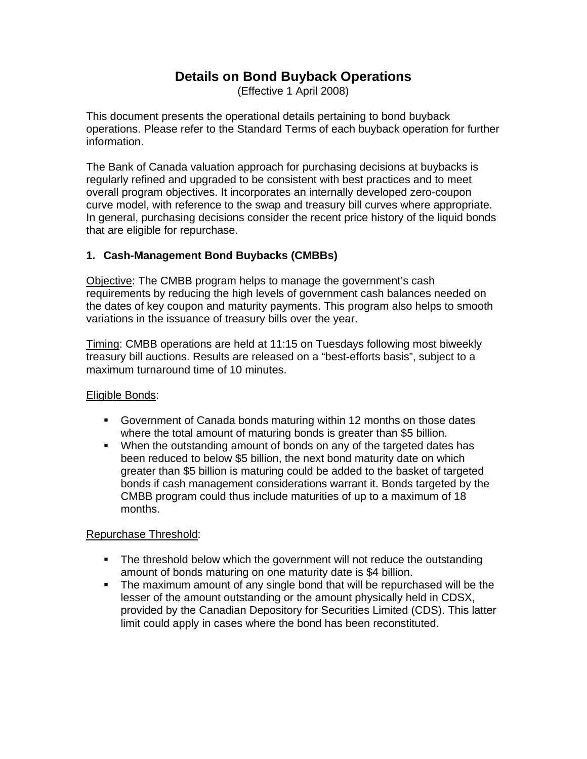# **Details on Bond Buyback Operations**

(Effective 1 April 2008)

This document presents the operational details pertaining to bond buyback operations. Please refer to the Standard Terms of each buyback operation for further information.

The Bank of Canada valuation approach for purchasing decisions at buybacks is regularly refined and upgraded to be consistent with best practices and to meet overall program objectives. It incorporates an internally developed zero-coupon curve model, with reference to the swap and treasury bill curves where appropriate. In general, purchasing decisions consider the recent price history of the liquid bonds that are eligible for repurchase.

## **1. Cash-Management Bond Buybacks (CMBBs)**

Objective: The CMBB program helps to manage the government's cash requirements by reducing the high levels of government cash balances needed on the dates of key coupon and maturity payments. This program also helps to smooth variations in the issuance of treasury bills over the year.

Timing: CMBB operations are held at 11:15 on Tuesdays following most biweekly treasury bill auctions. Results are released on a "best-efforts basis", subject to a maximum turnaround time of 10 minutes.

### Eligible Bonds:

- **Government of Canada bonds maturing within 12 months on those dates** where the total amount of maturing bonds is greater than \$5 billion.
- When the outstanding amount of bonds on any of the targeted dates has been reduced to below \$5 billion, the next bond maturity date on which greater than \$5 billion is maturing could be added to the basket of targeted bonds if cash management considerations warrant it. Bonds targeted by the CMBB program could thus include maturities of up to a maximum of 18 months.

### Repurchase Threshold:

- The threshold below which the government will not reduce the outstanding amount of bonds maturing on one maturity date is \$4 billion.
- The maximum amount of any single bond that will be repurchased will be the lesser of the amount outstanding or the amount physically held in CDSX, provided by the Canadian Depository for Securities Limited (CDS). This latter limit could apply in cases where the bond has been reconstituted.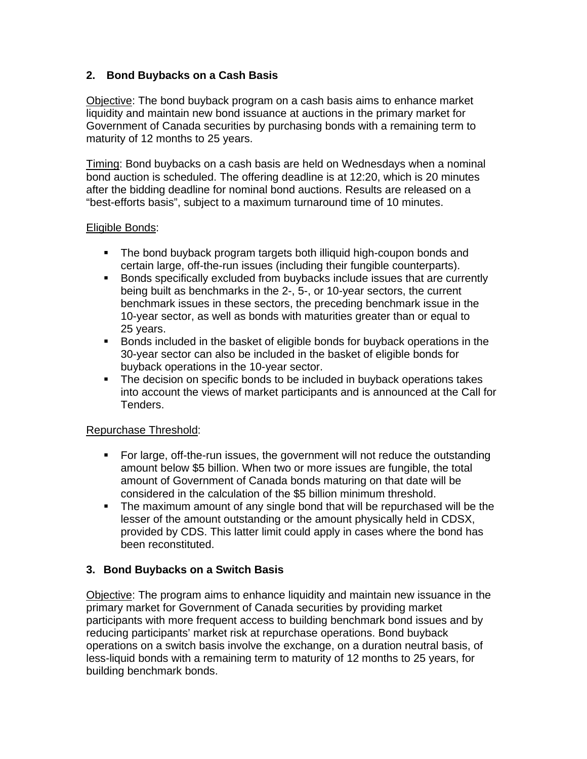### **2. Bond Buybacks on a Cash Basis**

Objective: The bond buyback program on a cash basis aims to enhance market liquidity and maintain new bond issuance at auctions in the primary market for Government of Canada securities by purchasing bonds with a remaining term to maturity of 12 months to 25 years.

Timing: Bond buybacks on a cash basis are held on Wednesdays when a nominal bond auction is scheduled. The offering deadline is at 12:20, which is 20 minutes after the bidding deadline for nominal bond auctions. Results are released on a "best-efforts basis", subject to a maximum turnaround time of 10 minutes.

#### Eligible Bonds:

- The bond buyback program targets both illiquid high-coupon bonds and certain large, off-the-run issues (including their fungible counterparts).
- **Bonds specifically excluded from buybacks include issues that are currently** being built as benchmarks in the 2-, 5-, or 10-year sectors, the current benchmark issues in these sectors, the preceding benchmark issue in the 10-year sector, as well as bonds with maturities greater than or equal to 25 years.
- Bonds included in the basket of eligible bonds for buyback operations in the 30-year sector can also be included in the basket of eligible bonds for buyback operations in the 10-year sector.
- The decision on specific bonds to be included in buyback operations takes into account the views of market participants and is announced at the Call for Tenders.

### Repurchase Threshold:

- ß For large, off-the-run issues, the government will not reduce the outstanding amount below \$5 billion. When two or more issues are fungible, the total amount of Government of Canada bonds maturing on that date will be considered in the calculation of the \$5 billion minimum threshold.
- The maximum amount of any single bond that will be repurchased will be the lesser of the amount outstanding or the amount physically held in CDSX, provided by CDS. This latter limit could apply in cases where the bond has been reconstituted.

### **3. Bond Buybacks on a Switch Basis**

Objective: The program aims to enhance liquidity and maintain new issuance in the primary market for Government of Canada securities by providing market participants with more frequent access to building benchmark bond issues and by reducing participants' market risk at repurchase operations. Bond buyback operations on a switch basis involve the exchange, on a duration neutral basis, of less-liquid bonds with a remaining term to maturity of 12 months to 25 years, for building benchmark bonds.